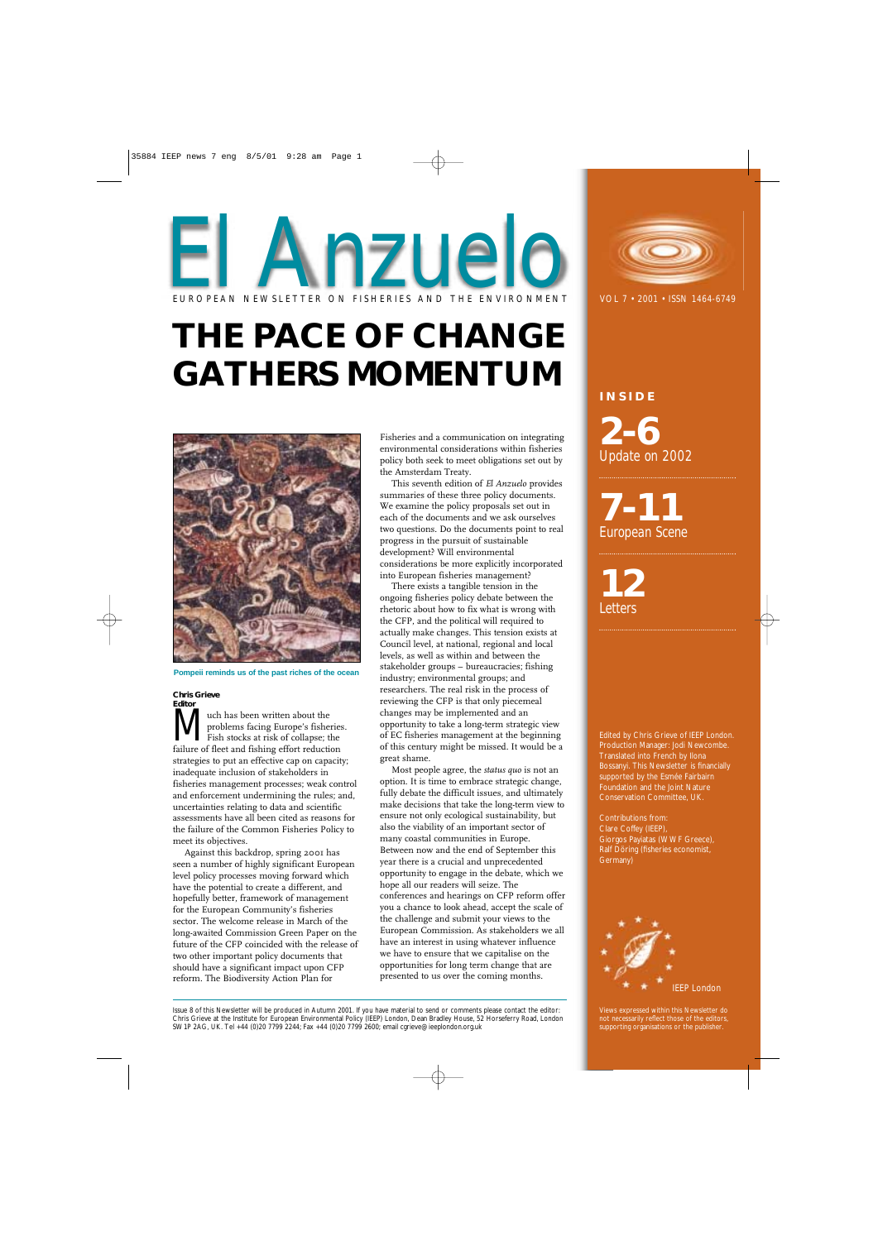# **THE PACE OF CHANGE GATHERS MOMENTUM**



**INSIDE 2-6** *Update on 2002*

**7-11** *European Scene*

**12** *Letters*

Edited by Chris Grieve of IEEP London. Production Manager: Jodi Newcombe. Translated into French by Ilona Bossanyi. This Newsletter is financially supported by the Esmée Fairbairn Foundation and the Joint Nature Conservation Committee, UK.

Contributions from: Clare Coffey (IEEP), Giorgos Payiatas (WWF Greece), Ralf Döring (fisheries economist, Germany)



#### **Chris Grieve Editor**

**MURNET UP:** The problems facing Europe's fishe<br>Fish stocks at risk of collapse; the<br>failure of fleet and fishing effort reduction problems facing Europe's fisheries. Fish stocks at risk of collapse; the failure of fleet and fishing effort reduction strategies to put an effective cap on capacity; inadequate inclusion of stakeholders in fisheries management processes; weak control and enforcement undermining the rules; and, uncertainties relating to data and scientific assessments have all been cited as reasons for the failure of the Common Fisheries Policy to meet its objectives.

Against this backdrop, spring 2001 has seen a number of highly significant European level policy processes moving forward which have the potential to create a different, and hopefully better, framework of management for the European Community's fisheries sector. The welcome release in March of the long-awaited Commission Green Paper on the future of the CFP coincided with the release of two other important policy documents that should have a significant impact upon CFP reform. The Biodiversity Action Plan for

Fisheries and a communication on integrating environmental considerations within fisheries policy both seek to meet obligations set out by the Amsterdam Treaty.

This seventh edition of *El Anzuelo* provides summaries of these three policy documents. We examine the policy proposals set out in each of the documents and we ask ourselves two questions. Do the documents point to real progress in the pursuit of sustainable development? Will environmental considerations be more explicitly incorporated into European fisheries management?

# El Anzuelo EUROPEAN NEWSLETTER ON FISHERIES AND THE ENVIRONMENT VOL 7 · 2001 · ISSN 1464-6749

Views expressed within this Newsletter do not necessarily reflect those of the editors, supporting organisations or the publisher

There exists a tangible tension in the ongoing fisheries policy debate between the rhetoric about how to fix what is wrong with the CFP, and the political will required to actually make changes. This tension exists at Council level, at national, regional and local levels, as well as within and between the stakeholder groups – bureaucracies; fishing industry; environmental groups; and researchers. The real risk in the process of reviewing the CFP is that only piecemeal changes may be implemented and an opportunity to take a long-term strategic view of EC fisheries management at the beginning of this century might be missed. It would be a great shame.

Most people agree, the *status quo* is not an option. It is time to embrace strategic change, fully debate the difficult issues, and ultimately make decisions that take the long-term view to ensure not only ecological sustainability, but also the viability of an important sector of many coastal communities in Europe. Between now and the end of September this year there is a crucial and unprecedented opportunity to engage in the debate, which we hope all our readers will seize. The conferences and hearings on CFP reform offer you a chance to look ahead, accept the scale of the challenge and submit your views to the European Commission. As stakeholders we all



have an interest in using whatever influence we have to ensure that we capitalise on the opportunities for long term change that are presented to us over the coming months.

Issue 8 of this Newsletter will be produced in Autumn 2001. If you have material to send or comments please contact the editor: Chris Grieve at the Institute for European Environmental Policy (IEEP) London, Dean Bradley House, 52 Horseferry Road, London SW1P 2AG, UK. Tel +44 (0)20 7799 2244; Fax +44 (0)20 7799 2600; email cgrieve@ieeplondon.org.uk

**Pompeii reminds us of the past riches of the ocean**

35884 IEEP news 7 eng 8/5/01 9:28 am Page 1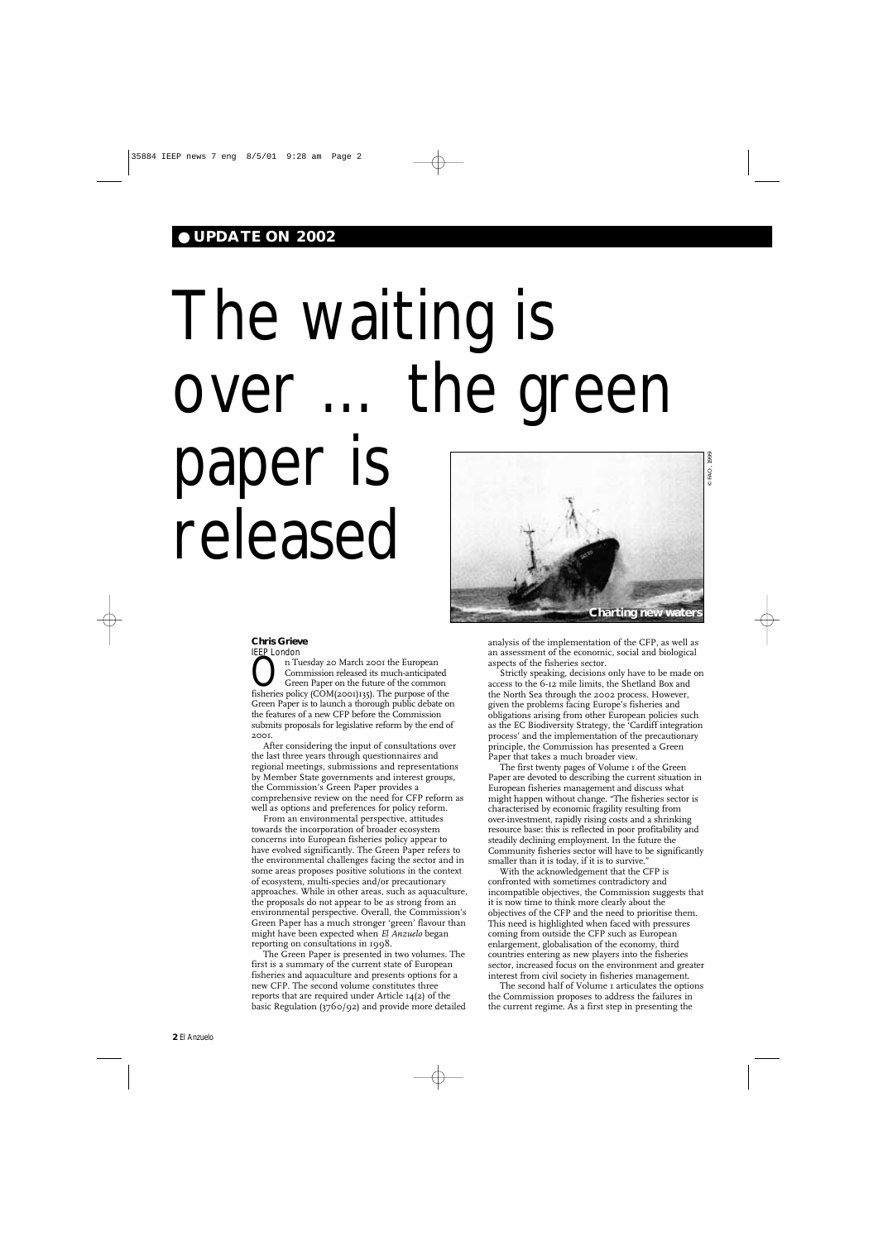# ● **UPDATE ON 2002**

#### **Chris Grieve** IEEP London

On Tuesday 20 March 2001 the European<br>Commission released its much-anticipated<br>Green Paper on the future of the common<br>fisheries policy (COM(2001)135). The purpose of the Commission released its much-anticipated fisheries policy (COM(2001)135). The purpose of the Green Paper is to launch a thorough public debate on the features of a new CFP before the Commission submits proposals for legislative reform by the end of 2001.

After considering the input of consultations over the last three years through questionnaires and regional meetings, submissions and representations by Member State governments and interest groups, the Commission's Green Paper provides a comprehensive review on the need for CFP reform as well as options and preferences for policy reform.

From an environmental perspective, attitudes towards the incorporation of broader ecosystem concerns into European fisheries policy appear to have evolved significantly. The Green Paper refers to the environmental challenges facing the sector and in some areas proposes positive solutions in the context of ecosystem, multi-species and/or precautionary approaches. While in other areas, such as aquaculture, the proposals do not appear to be as strong from an environmental perspective. Overall, the Commission's Green Paper has a much stronger 'green' flavour than might have been expected when *El Anzuelo* began

reporting on consultations in 1998.

The Green Paper is presented in two volumes. The first is a summary of the current state of European fisheries and aquaculture and presents options for a new CFP. The second volume constitutes three reports that are required under Article 14(2) of the basic Regulation (3760/92) and provide more detailed

The second half of Volume 1 articulates the options the Commission proposes to address the failures in the current regime. As a first step in presenting the

analysis of the implementation of the CFP, as well as an assessment of the economic, social and biological aspects of the fisheries sector.

Strictly speaking, decisions only have to be made on access to the 6-12 mile limits, the Shetland Box and the North Sea through the 2002 process. However, given the problems facing Europe's fisheries and obligations arising from other European policies such as the EC Biodiversity Strategy, the 'Cardiff integration process' and the implementation of the precautionary principle, the Commission has presented a Green Paper that takes a much broader view.

The first twenty pages of Volume 1 of the Green Paper are devoted to describing the current situation in European fisheries management and discuss what might happen without change. "The fisheries sector is characterised by economic fragility resulting from over-investment, rapidly rising costs and a shrinking resource base: this is reflected in poor profitability and steadily declining employment. In the future the Community fisheries sector will have to be significantly smaller than it is today, if it is to survive."

With the acknowledgement that the CFP is confronted with sometimes contradictory and incompatible objectives, the Commission suggests that it is now time to think more clearly about the objectives of the CFP and the need to prioritise them. This need is highlighted when faced with pressures coming from outside the CFP such as European enlargement, globalisation of the economy, third countries entering as new players into the fisheries sector, increased focus on the environment and greater interest from civil society in fisheries management.

# The waiting is over … the green paper is released

**Charting new waters**

© FAO, 1999

© FAO,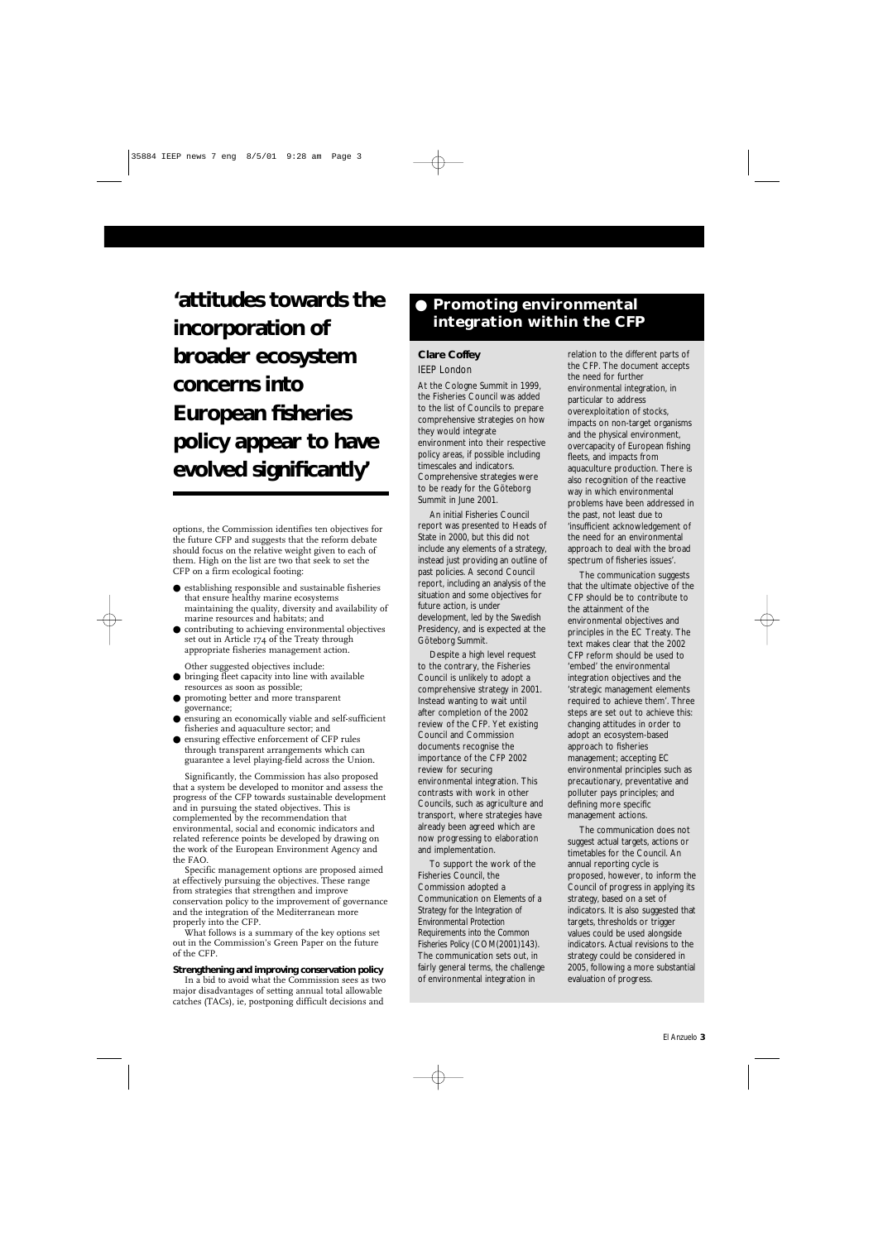options, the Commission identifies ten objectives for the future CFP and suggests that the reform debate should focus on the relative weight given to each of them. High on the list are two that seek to set the CFP on a firm ecological footing:

- establishing responsible and sustainable fisheries that ensure healthy marine ecosystems maintaining the quality, diversity and availability of marine resources and habitats; and
- contributing to achieving environmental objectives set out in Article 174 of the Treaty through appropriate fisheries management action.
	- Other suggested objectives include:
- bringing fleet capacity into line with available resources as soon as possible;
- promoting better and more transparent governance;
- ensuring an economically viable and self-sufficient fisheries and aquaculture sector; and
- $\bullet\,$  ensuring effective enforcement of CFP rules through transparent arrangements which can guarantee a level playing-field across the Union.

Significantly, the Commission has also proposed that a system be developed to monitor and assess the progress of the CFP towards sustainable development and in pursuing the stated objectives. This is complemented by the recommendation that environmental, social and economic indicators and related reference points be developed by drawing on the work of the European Environment Agency and the FAO.

Specific management options are proposed aimed at effectively pursuing the objectives. These range from strategies that strengthen and improve conservation policy to the improvement of governance and the integration of the Mediterranean more properly into the CFP.

What follows is a summary of the key options set

out in the Commission's Green Paper on the future of the CFP.

### **Strengthening and improving conservation policy**

In a bid to avoid what the Commission sees as two major disadvantages of setting annual total allowable catches (TACs), ie, postponing difficult decisions and

El Anzuelo **3**

**'attitudes towards the incorporation of broader ecosystem concerns into European fisheries policy appear to have evolved significantly'**

# ● **Promoting environmental integration within the CFP**

# **Clare Coffey** IEEP London

At the Cologne Summit in 1999, the Fisheries Council was added to the list of Councils to prepare comprehensive strategies on how they would integrate environment into their respective policy areas, if possible including timescales and indicators. Comprehensive strategies were to be ready for the Göteborg Summit in June 2001.

An initial Fisheries Council report was presented to Heads of State in 2000, but this did not include any elements of a strategy, instead just providing an outline of past policies. A second Council report, including an analysis of the situation and some objectives for future action, is under development, led by the Swedish Presidency, and is expected at the Göteborg Summit.

Despite a high level request to the contrary, the Fisheries Council is unlikely to adopt a comprehensive strategy in 2001. Instead wanting to wait until after completion of the 2002 review of the CFP. Yet existing Council and Commission documents recognise the importance of the CFP 2002 review for securing environmental integration. This contrasts with work in other Councils, such as agriculture and transport, where strategies have already been agreed which are now progressing to elaboration and implementation.

To support the work of the Fisheries Council, the Commission adopted a Communication on *Elements of a Strategy for the Integration of Environmental Protection Requirements into the Common Fisheries Policy* (COM(2001)143). The communication sets out, in fairly general terms, the challenge of environmental integration in

relation to the different parts of the CFP. The document accepts the need for further environmental integration, in particular to address overexploitation of stocks, impacts on non-target organisms and the physical environment, overcapacity of European fishing fleets, and impacts from aquaculture production. There is also recognition of the reactive way in which environmental problems have been addressed in the past, not least due to 'insufficient acknowledgement of the need for an environmental approach to deal with the broad spectrum of fisheries issues'.

The communication suggests that the ultimate objective of the CFP should be to contribute to the attainment of the environmental objectives and principles in the EC Treaty. The text makes clear that the 2002 CFP reform should be used to 'embed' the environmental integration objectives and the 'strategic management elements required to achieve them'. Three steps are set out to achieve this: changing attitudes in order to adopt an ecosystem-based approach to fisheries management; accepting EC environmental principles such as precautionary, preventative and polluter pays principles; and defining more specific management actions.

The communication does not suggest actual targets, actions or timetables for the Council. An annual reporting cycle is proposed, however, to inform the Council of progress in applying its strategy, based on a set of indicators. It is also suggested that targets, thresholds or trigger values could be used alongside

indicators. Actual revisions to the strategy could be considered in 2005, following a more substantial evaluation of progress.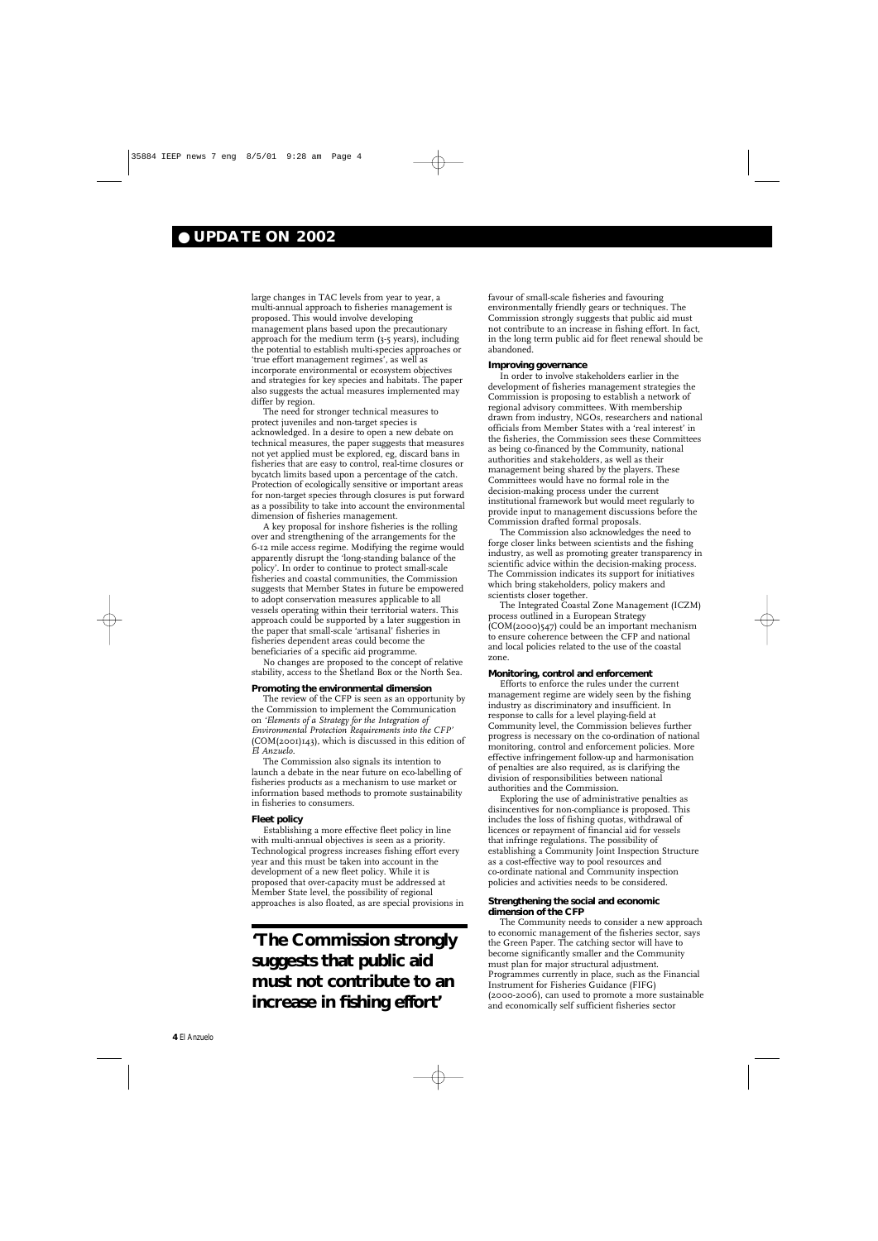# ● **UPDATE ON 2002**

large changes in TAC levels from year to year, a multi-annual approach to fisheries management is proposed. This would involve developing management plans based upon the precautionary approach for the medium term (3-5 years), including the potential to establish multi-species approaches or 'true effort management regimes', as well as incorporate environmental or ecosystem objectives and strategies for key species and habitats. The paper also suggests the actual measures implemented may differ by region.

The need for stronger technical measures to protect juveniles and non-target species is acknowledged. In a desire to open a new debate on technical measures, the paper suggests that measures not yet applied must be explored, eg, discard bans in fisheries that are easy to control, real-time closures or bycatch limits based upon a percentage of the catch. Protection of ecologically sensitive or important areas for non-target species through closures is put forward as a possibility to take into account the environmental dimension of fisheries management.

A key proposal for inshore fisheries is the rolling over and strengthening of the arrangements for the 6-12 mile access regime. Modifying the regime would apparently disrupt the 'long-standing balance of the policy'. In order to continue to protect small-scale fisheries and coastal communities, the Commission suggests that Member States in future be empowered to adopt conservation measures applicable to all vessels operating within their territorial waters. This approach could be supported by a later suggestion in the paper that small-scale 'artisanal' fisheries in fisheries dependent areas could become the beneficiaries of a specific aid programme.

No changes are proposed to the concept of relative stability, access to the Shetland Box or the North Sea.

#### **Promoting the environmental dimension**

The review of the CFP is seen as an opportunity by the Commission to implement the Communication on *'Elements of a Strategy for the Integration of Environmental Protection Requirements into the CFP'* (COM(2001)143), which is discussed in this edition of *El Anzuelo*.

The Commission also signals its intention to launch a debate in the near future on eco-labelling of fisheries products as a mechanism to use market or information based methods to promote sustainability in fisheries to consumers.

#### **Fleet policy**

Establishing a more effective fleet policy in line with multi-annual objectives is seen as a priority. Technological progress increases fishing effort every year and this must be taken into account in the development of a new fleet policy. While it is proposed that over-capacity must be addressed at Member State level, the possibility of regional approaches is also floated, as are special provisions in

favour of small-scale fisheries and favouring environmentally friendly gears or techniques. The Commission strongly suggests that public aid must not contribute to an increase in fishing effort. In fact, in the long term public aid for fleet renewal should be abandoned.

#### **Improving governance**

In order to involve stakeholders earlier in the development of fisheries management strategies the Commission is proposing to establish a network of regional advisory committees. With membership drawn from industry, NGOs, researchers and national officials from Member States with a 'real interest' in the fisheries, the Commission sees these Committees as being co-financed by the Community, national authorities and stakeholders, as well as their management being shared by the players. These Committees would have no formal role in the decision-making process under the current institutional framework but would meet regularly to provide input to management discussions before the Commission drafted formal proposals.

The Commission also acknowledges the need to forge closer links between scientists and the fishing industry, as well as promoting greater transparency in scientific advice within the decision-making process. The Commission indicates its support for initiatives which bring stakeholders, policy makers and scientists closer together.

The Integrated Coastal Zone Management (ICZM) process outlined in a European Strategy (COM(2000)547) could be an important mechanism to ensure coherence between the CFP and national and local policies related to the use of the coastal zone.

#### **Monitoring, control and enforcement**

Efforts to enforce the rules under the current management regime are widely seen by the fishing industry as discriminatory and insufficient. In response to calls for a level playing-field at Community level, the Commission believes further progress is necessary on the co-ordination of national monitoring, control and enforcement policies. More effective infringement follow-up and harmonisation of penalties are also required, as is clarifying the division of responsibilities between national authorities and the Commission.

Exploring the use of administrative penalties as disincentives for non-compliance is proposed. This includes the loss of fishing quotas, withdrawal of licences or repayment of financial aid for vessels that infringe regulations. The possibility of establishing a Community Joint Inspection Structure as a cost-effective way to pool resources and co-ordinate national and Community inspection policies and activities needs to be considered.

#### **Strengthening the social and economic dimension of the CFP**

The Community needs to consider a new approach to economic management of the fisheries sector, says the Green Paper. The catching sector will have to become significantly smaller and the Community must plan for major structural adjustment. Programmes currently in place, such as the Financial Instrument for Fisheries Guidance (FIFG) (2000-2006), can used to promote a more sustainable and economically self sufficient fisheries sector

**'The Commission strongly suggests that public aid must not contribute to an increase in fishing effort'**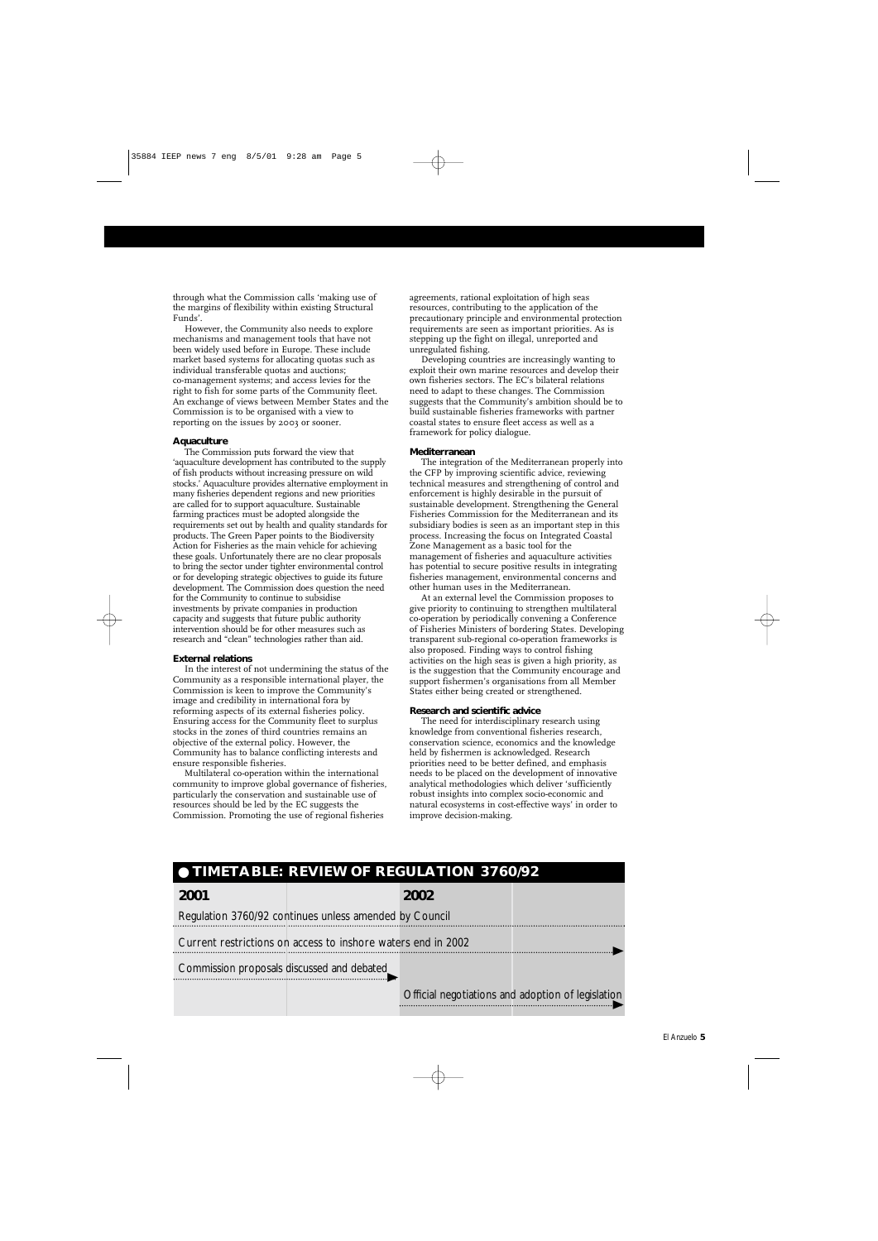

through what the Commission calls 'making use of the margins of flexibility within existing Structural Funds'.

However, the Community also needs to explore mechanisms and management tools that have not been widely used before in Europe. These include market based systems for allocating quotas such as individual transferable quotas and auctions; co-management systems; and access levies for the right to fish for some parts of the Community fleet. An exchange of views between Member States and the Commission is to be organised with a view to reporting on the issues by 2003 or sooner.

#### **Aquaculture**

The Commission puts forward the view that 'aquaculture development has contributed to the supply of fish products without increasing pressure on wild stocks.' Aquaculture provides alternative employment in many fisheries dependent regions and new priorities are called for to support aquaculture. Sustainable farming practices must be adopted alongside the requirements set out by health and quality standards for products. The Green Paper points to the Biodiversity Action for Fisheries as the main vehicle for achieving these goals. Unfortunately there are no clear proposals to bring the sector under tighter environmental control or for developing strategic objectives to guide its future development. The Commission does question the need for the Community to continue to subsidise investments by private companies in production capacity and suggests that future public authority intervention should be for other measures such as research and "clean" technologies rather than aid.

#### **External relations**

In the interest of not undermining the status of the Community as a responsible international player, the Commission is keen to improve the Community's image and credibility in international fora by reforming aspects of its external fisheries policy. Ensuring access for the Community fleet to surplus stocks in the zones of third countries remains an objective of the external policy. However, the Community has to balance conflicting interests and ensure responsible fisheries.

Multilateral co-operation within the international community to improve global governance of fisheries, particularly the conservation and sustainable use of resources should be led by the EC suggests the Commission. Promoting the use of regional fisheries

agreements, rational exploitation of high seas resources, contributing to the application of the precautionary principle and environmental protection requirements are seen as important priorities. As is stepping up the fight on illegal, unreported and unregulated fishing.

Developing countries are increasingly wanting to exploit their own marine resources and develop their own fisheries sectors. The EC's bilateral relations need to adapt to these changes. The Commission suggests that the Community's ambition should be to build sustainable fisheries frameworks with partner coastal states to ensure fleet access as well as a framework for policy dialogue.

#### **Mediterranean**

The integration of the Mediterranean properly into the CFP by improving scientific advice, reviewing technical measures and strengthening of control and enforcement is highly desirable in the pursuit of sustainable development. Strengthening the General Fisheries Commission for the Mediterranean and its subsidiary bodies is seen as an important step in this process. Increasing the focus on Integrated Coastal Zone Management as a basic tool for the management of fisheries and aquaculture activities has potential to secure positive results in integrating fisheries management, environmental concerns and other human uses in the Mediterranean.

At an external level the Commission proposes to give priority to continuing to strengthen multilateral co-operation by periodically convening a Conference of Fisheries Ministers of bordering States. Developing transparent sub-regional co-operation frameworks is also proposed. Finding ways to control fishing activities on the high seas is given a high priority, as is the suggestion that the Community encourage and support fishermen's organisations from all Member States either being created or strengthened.

#### **Research and scientific advice**

The need for interdisciplinary research using knowledge from conventional fisheries research, conservation science, economics and the knowledge held by fishermen is acknowledged. Research priorities need to be better defined, and emphasis needs to be placed on the development of innovative analytical methodologies which deliver 'sufficiently robust insights into complex socio-economic and natural ecosystems in cost-effective ways' in order to improve decision-making.

# **2001 2002**

# ● **TIMETABLE: REVIEW OF REGULATION 3760/92**

Regulation 3760/92 continues unless amended by Council

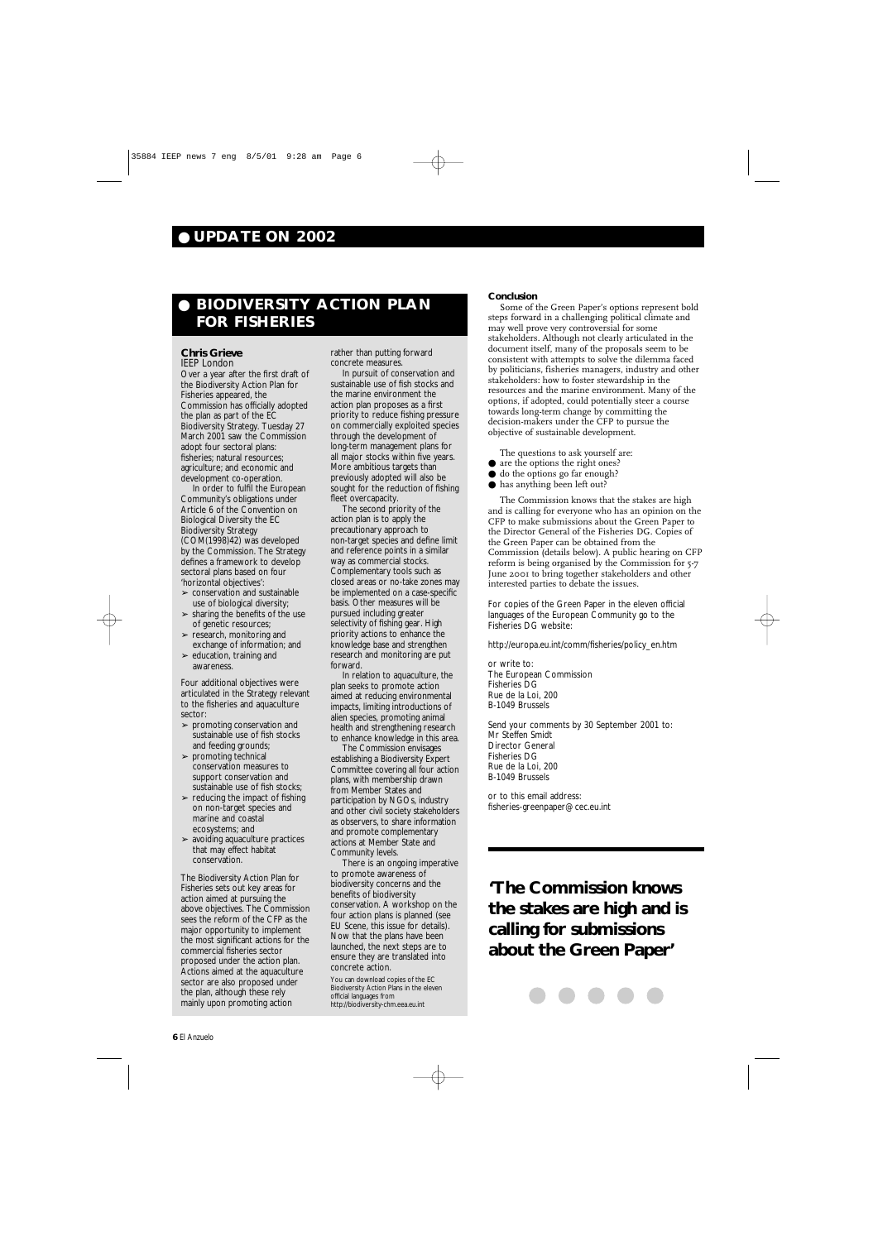# ● **UPDATE ON 2002**

### **Conclusion**

- are the options the right ones?
- do the options go far enough?
- has anything been left out?

Some of the Green Paper's options represent bold steps forward in a challenging political climate and may well prove very controversial for some stakeholders. Although not clearly articulated in the document itself, many of the proposals seem to be consistent with attempts to solve the dilemma faced by politicians, fisheries managers, industry and other stakeholders: how to foster stewardship in the resources and the marine environment. Many of the options, if adopted, could potentially steer a course towards long-term change by committing the decision-makers under the CFP to pursue the objective of sustainable development.

The questions to ask yourself are:

The Commission knows that the stakes are high and is calling for everyone who has an opinion on the CFP to make submissions about the Green Paper to the Director General of the Fisheries DG. Copies of the Green Paper can be obtained from the Commission (details below). A public hearing on CFP reform is being organised by the Commission for 5-7 June 2001 to bring together stakeholders and other interested parties to debate the issues.

- $\blacktriangleright$  conservation and sustainable use of biological diversity;
- $\blacktriangleright$  sharing the benefits of the use of genetic resources;
- ➢ research, monitoring and exchange of information; and
- $\blacktriangleright$  education, training and awareness.

For copies of the Green Paper in the eleven official languages of the European Community go to the Fisheries DG website:

http://europa.eu.int/comm/fisheries/policy\_en.htm

or write to: The European Commission Fisheries DG Rue de la Loi, 200 B-1049 Brussels

- $\triangleright$  promoting conservation and sustainable use of fish stocks and feeding grounds;
- $\blacktriangleright$  promoting technical conservation measures to support conservation and sustainable use of fish stocks;
- $\blacktriangleright$  reducing the impact of fishing on non-target species and marine and coastal ecosystems; and
- $\blacktriangleright$  avoiding aquaculture practices that may effect habitat conservation.

Send your comments by 30 September 2001 to: Mr Steffen Smidt Director General Fisheries DG Rue de la Loi, 200 B-1049 Brussels

or to this email address: fisheries-greenpaper@cec.eu.int

# ● **BIODIVERSITY ACTION PLAN FOR FISHERIES**

## **Chris Grieve**

IEEP London Over a year after the first draft of the Biodiversity Action Plan for Fisheries appeared, the Commission has officially adopted the plan as part of the EC Biodiversity Strategy. Tuesday 27 March 2001 saw the Commission adopt four sectoral plans: fisheries; natural resources; agriculture; and economic and development co-operation.

In order to fulfil the European Community's obligations under Article 6 of the Convention on Biological Diversity the EC Biodiversity Strategy (COM(1998)42) was developed by the Commission. The Strategy defines a framework to develop sectoral plans based on four 'horizontal objectives':

Four additional objectives were articulated in the Strategy relevant to the fisheries and aquaculture sector:

The Biodiversity Action Plan for Fisheries sets out key areas for action aimed at pursuing the above objectives. The Commission sees the reform of the CFP as the major opportunity to implement the most significant actions for the commercial fisheries sector proposed under the action plan. Actions aimed at the aquaculture sector are also proposed under the plan, although these rely mainly upon promoting action

rather than putting forward concrete measures.

In pursuit of conservation and sustainable use of fish stocks and the marine environment the action plan proposes as a first priority to reduce fishing pressure on commercially exploited species through the development of long-term management plans for all major stocks within five years. More ambitious targets than previously adopted will also be sought for the reduction of fishing fleet overcapacity.

The second priority of the action plan is to apply the precautionary approach to non-target species and define limit and reference points in a similar way as commercial stocks. Complementary tools such as closed areas or no-take zones may be implemented on a case-specific basis. Other measures will be pursued including greater selectivity of fishing gear. High priority actions to enhance the knowledge base and strengthen research and monitoring are put forward.

In relation to aquaculture, the plan seeks to promote action aimed at reducing environmental impacts, limiting introductions of alien species, promoting animal health and strengthening research to enhance knowledge in this area.

The Commission envisages establishing a Biodiversity Expert Committee covering all four action plans, with membership drawn from Member States and participation by NGOs, industry and other civil society stakeholders as observers, to share information and promote complementary actions at Member State and Community levels.

There is an ongoing imperative to promote awareness of biodiversity concerns and the benefits of biodiversity conservation. A workshop on the four action plans is planned (see EU Scene, this issue for details). Now that the plans have been launched, the next steps are to ensure they are translated into concrete action.

You can download copies of the EC Biodiversity Action Plans in the eleven official languages from http://biodiversity-chm.eea.eu.int

**'The Commission knows the stakes are high and is calling for submissions about the Green Paper'**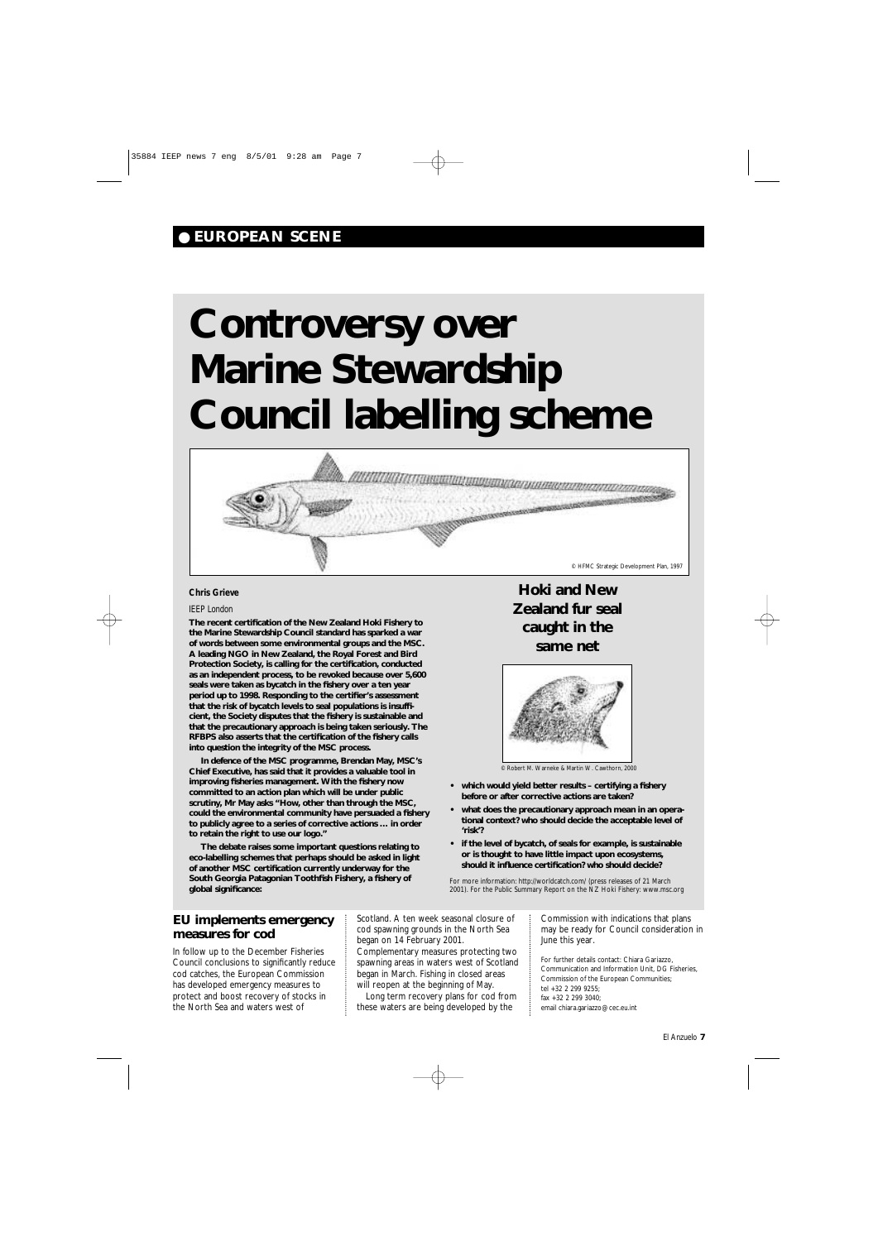# ● **EUROPEAN SCENE**

# **Controversy over Marine Stewardship Council labelling scheme**

#### *Chris Grieve*

## *IEEP London*

**The recent certification of the New Zealand Hoki Fishery to the Marine Stewardship Council standard has sparked a war of words between some environmental groups and the MSC. A leading NGO in New Zealand, the Royal Forest and Bird Protection Society, is calling for the certification, conducted as an independent process, to be revoked because over 5,600 seals were taken as bycatch in the fishery over a ten year period up to 1998. Responding to the certifier's assessment that the risk of bycatch levels to seal populations is insufficient, the Society disputes that the fishery is sustainable and that the precautionary approach is being taken seriously. The RFBPS also asserts that the certification of the fishery calls into question the integrity of the MSC process.**

**In defence of the MSC programme, Brendan May, MSC's Chief Executive, has said that it provides a valuable tool in improving fisheries management. With the fishery now committed to an action plan which will be under public scrutiny, Mr May asks "How, other than through the MSC, could the environmental community have persuaded a fishery to publicly agree to a series of corrective actions … in order to retain the right to use our logo."**

**The debate raises some important questions relating to eco-labelling schemes that perhaps should be asked in light of another MSC certification currently underway for the South Georgia Patagonian Toothfish Fishery, a fishery of global significance:**

- **which would yield better results certifying a fishery before or after corrective actions are taken?**
- **what does the precautionary approach mean in an operational context? who should decide the acceptable level of 'risk'?**
- **if the level of bycatch, of seals for example, is sustainable or is thought to have little impact upon ecosystems, should it influence certification? who should decide?**

For more information: http://worldcatch.com/ (press releases of 21 March 2001). For the Public Summary Report on the NZ Hoki Fishery: www.msc.org

**Hoki and New Zealand fur seal caught in the same net**





© Robert M. Warneke & Martin W. Cawthorn, 2000

**EU implements emergency measures for cod**

In follow up to the December Fisheries Council conclusions to significantly reduce cod catches, the European Commission has developed emergency measures to protect and boost recovery of stocks in the North Sea and waters west of

Scotland. A ten week seasonal closure of cod spawning grounds in the North Sea began on 14 February 2001. Complementary measures protecting two spawning areas in waters west of Scotland began in March. Fishing in closed areas will reopen at the beginning of May. Long term recovery plans for cod from these waters are being developed by the

Commission with indications that plans may be ready for Council consideration in

#### June this year.

For further details contact: Chiara Gariazzo, Communication and Information Unit, DG Fisheries,

Commission of the European Communities;

tel +32 2 299 9255;

fax +32 2 299 3040;

email chiara.gariazzo@cec.eu.int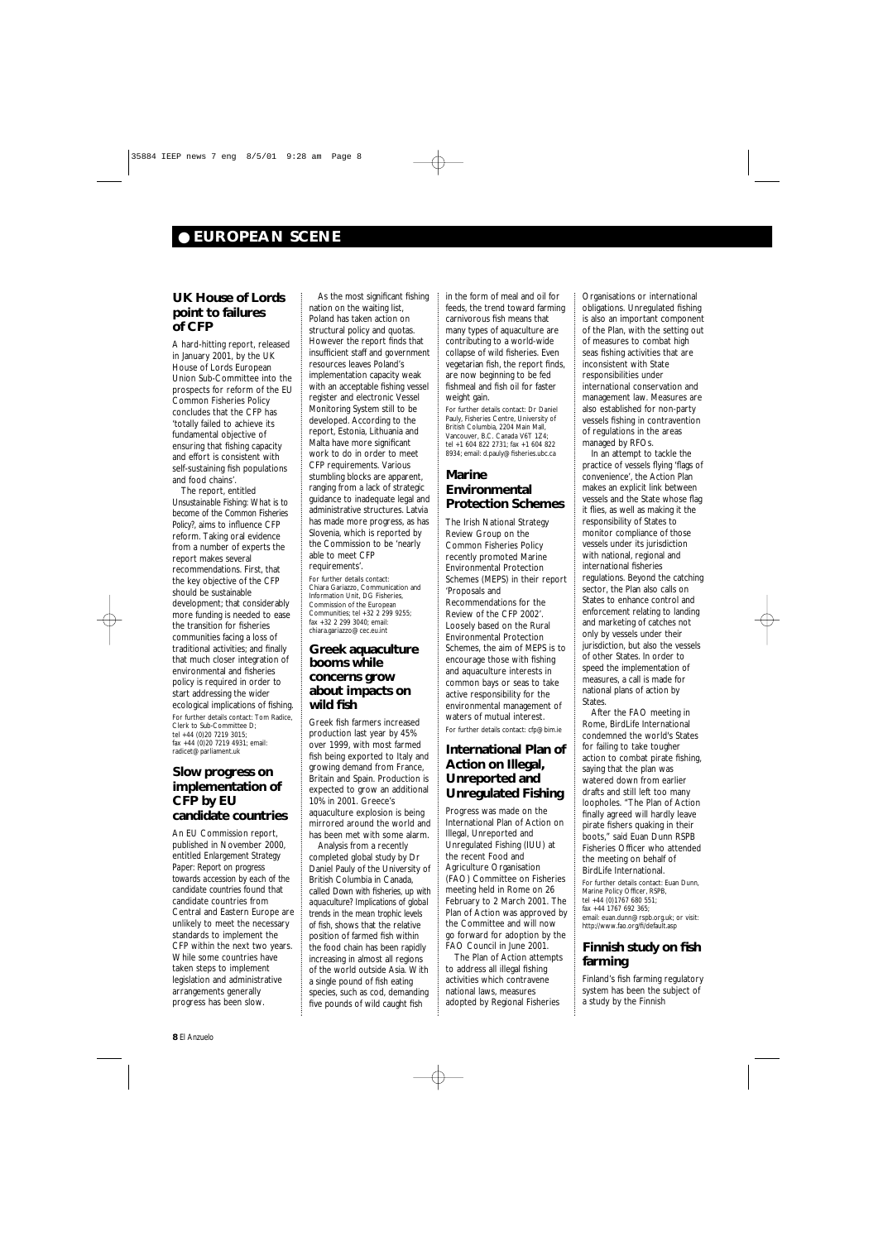# **UK House of Lords point to failures of CFP**

A hard-hitting report, released in January 2001, by the UK House of Lords European Union Sub-Committee into the prospects for reform of the EU Common Fisheries Policy concludes that the CFP has 'totally failed to achieve its fundamental objective of ensuring that fishing capacity and effort is consistent with self-sustaining fish populations and food chains'.

The report, entitled *Unsustainable Fishing: What is to become of the Common Fisheries Policy?,* aims to influence CFP reform. Taking oral evidence from a number of experts the report makes several recommendations. First, that the key objective of the CFP should be sustainable development; that considerably more funding is needed to ease the transition for fisheries communities facing a loss of traditional activities; and finally that much closer integration of environmental and fisheries policy is required in order to start addressing the wider ecological implications of fishing. For further details contact: Tom Radice, Clerk to Sub-Committee D; tel +44 (0)20 7219 3015; fax +44 (0)20 7219 4931; email:

radicet@parliament.uk

# **Slow progress on implementation of CFP by EU candidate countries**

An EU Commission report, published in November 2000, entitled *Enlargement Strategy Paper: Report on progress towards accession by each of the candidate countries* found that candidate countries from Central and Eastern Europe are unlikely to meet the necessary standards to implement the CFP within the next two years. While some countries have taken steps to implement legislation and administrative arrangements generally progress has been slow.

As the most significant fishing nation on the waiting list, Poland has taken action on structural policy and quotas. However the report finds that insufficient staff and government resources leaves Poland's implementation capacity weak with an acceptable fishing vessel register and electronic Vessel Monitoring System still to be developed. According to the report, Estonia, Lithuania and Malta have more significant work to do in order to meet CFP requirements. Various stumbling blocks are apparent, ranging from a lack of strategic guidance to inadequate legal and administrative structures. Latvia has made more progress, as has Slovenia, which is reported by the Commission to be 'nearly able to meet CFP requirements'. For further details contact: Chiara Gariazzo, Communication and Information Unit, DG Fisheries, Commission of the European Communities; tel +32 2 299 9255; fax +32 2 299 3040; email: chiara.gariazzo@cec.eu.int

# **Greek aquaculture booms while concerns grow about impacts on wild fish**

Greek fish farmers increased production last year by 45% over 1999, with most farmed fish being exported to Italy and growing demand from France, Britain and Spain. Production is expected to grow an additional 10% in 2001. Greece's aquaculture explosion is being mirrored around the world and has been met with some alarm.

Analysis from a recently completed global study by Dr Daniel Pauly of the University of British Columbia in Canada, called *Down with fisheries, up with aquaculture? Implications of global trends in the mean trophic levels of fish*, shows that the relative position of farmed fish within the food chain has been rapidly increasing in almost all regions of the world outside Asia. With a single pound of fish eating species, such as cod, demanding five pounds of wild caught fish

in the form of meal and oil for feeds, the trend toward farming carnivorous fish means that many types of aquaculture are contributing to a world-wide collapse of wild fisheries. Even vegetarian fish, the report finds, are now beginning to be fed fishmeal and fish oil for faster weight gain.

For further details contact: Dr Daniel Pauly, Fisheries Centre, University of British Columbia, 2204 Main Mall, Vancouver, B.C. Canada V6T 1Z4; tel +1 604 822 2731; fax +1 604 822 8934; email: d.pauly@fisheries.ubc.ca

# **Marine Environmental Protection Schemes**

The Irish National Strategy Review Group on the Common Fisheries Policy recently promoted Marine Environmental Protection Schemes (MEPS) in their report 'Proposals and Recommendations for the Review of the CFP 2002'. Loosely based on the Rural Environmental Protection Schemes, the aim of MEPS is to encourage those with fishing and aquaculture interests in common bays or seas to take active responsibility for the environmental management of waters of mutual interest. For further details contact: cfp@bim.ie

# **International Plan of Action on Illegal, Unreported and Unregulated Fishing**

Progress was made on the International Plan of Action on Illegal, Unreported and Unregulated Fishing (IUU) at the recent Food and Agriculture Organisation (FAO) Committee on Fisheries meeting held in Rome on 26 February to 2 March 2001. The Plan of Action was approved by the Committee and will now go forward for adoption by the FAO Council in June 2001.

The Plan of Action attempts to address all illegal fishing activities which contravene national laws, measures adopted by Regional Fisheries

Organisations or international obligations. Unregulated fishing is also an important component of the Plan, with the setting out of measures to combat high seas fishing activities that are inconsistent with State responsibilities under international conservation and management law. Measures are also established for non-party vessels fishing in contravention of regulations in the areas managed by RFOs. In an attempt to tackle the

practice of vessels flying 'flags of convenience', the Action Plan makes an explicit link between vessels and the State whose flag it flies, as well as making it the responsibility of States to monitor compliance of those vessels under its jurisdiction with national, regional and international fisheries regulations. Beyond the catching sector, the Plan also calls on States to enhance control and enforcement relating to landing and marketing of catches not only by vessels under their jurisdiction, but also the vessels of other States. In order to speed the implementation of measures, a call is made for national plans of action by States.

After the FAO meeting in Rome, BirdLife International condemned the world's States for failing to take tougher action to combat pirate fishing, saying that the plan was watered down from earlier drafts and still left too many loopholes. "The Plan of Action finally agreed will hardly leave pirate fishers quaking in their boots," said Euan Dunn RSPB Fisheries Officer who attended the meeting on behalf of BirdLife International. For further details contact: Euan Dunn, Marine Policy Officer, RSPB, tel +44 (0)1767 680 551; fax +44 1767 692 365; email: euan.dunn@rspb.org.uk; or visit: http://www.fao.org/fi/default.asp

# **Finnish study on fish farming**

Finland's fish farming regulatory system has been the subject of a study by the Finnish

# ● **EUROPEAN SCENE**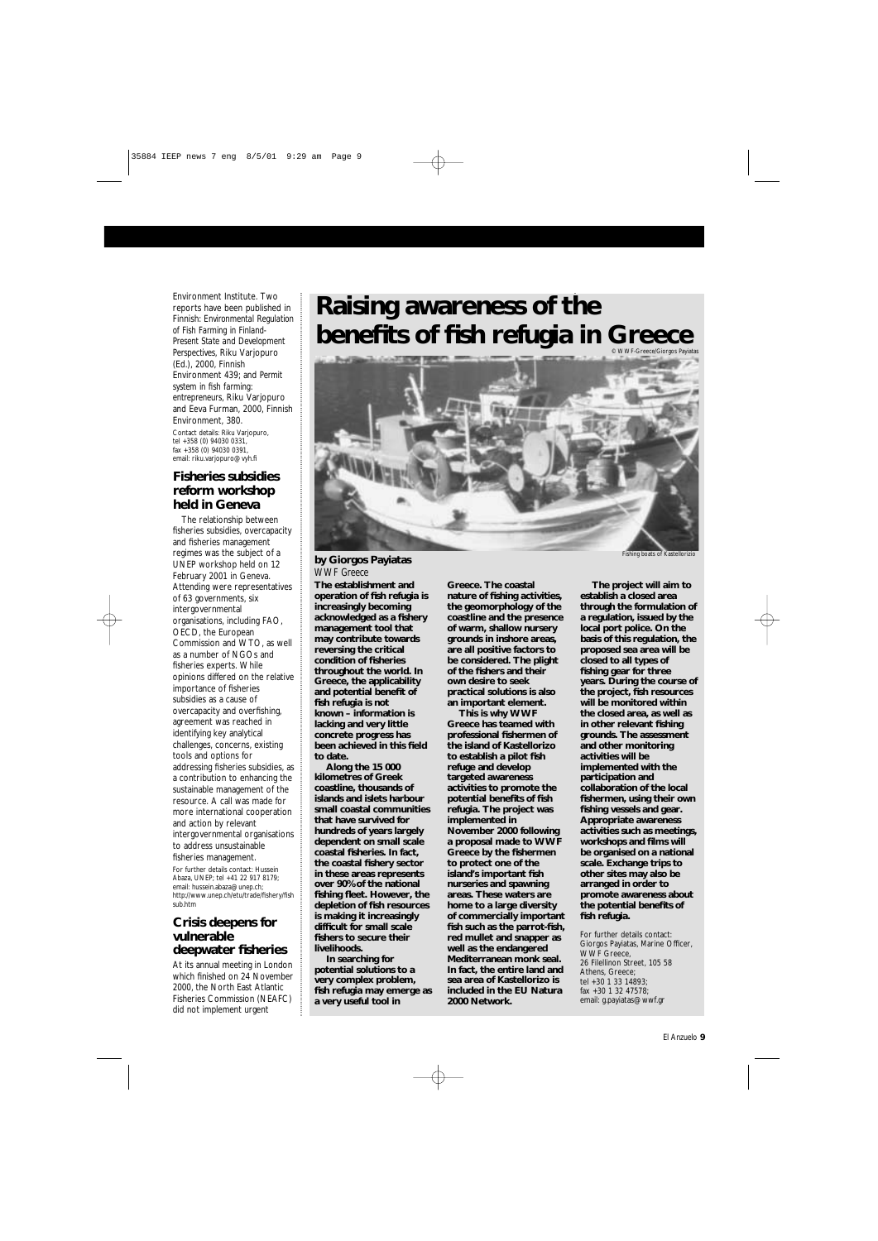Environment Institute. Two reports have been published in Finnish: *Environmental Regulation of Fish Farming in Finland-Present State and Development Perspectives*, Riku Varjopuro (Ed.), 2000, Finnish Environment 439; and *Permit system in fish farming: entrepreneurs*, Riku Varjopuro and Eeva Furman, 2000, Finnish Environment, 380. Contact details: Riku Varjopuro, tel +358 (0) 94030 0331, fax +358 (0) 94030 0391, email: riku.varjopuro@vyh.fi

# **Fisheries subsidies reform workshop held in Geneva**

The relationship between fisheries subsidies, overcapacity and fisheries management regimes was the subject of a UNEP workshop held on 12 February 2001 in Geneva. Attending were representatives of 63 governments, six intergovernmental organisations, including FAO, OECD, the European Commission and WTO, as well as a number of NGOs and fisheries experts. While opinions differed on the relative importance of fisheries subsidies as a cause of overcapacity and overfishing, agreement was reached in identifying key analytical challenges, concerns, existing tools and options for addressing fisheries subsidies, as a contribution to enhancing the sustainable management of the resource. A call was made for more international cooperation and action by relevant intergovernmental organisations to address unsustainable fisheries management. For further details contact: Hussein Abaza, UNEP; tel +41 22 917 8179; email: hussein.abaza@unep.ch; http://www.unep.ch/etu/trade/fishery/fish sub.htm

# **Crisis deepens for vulnerable**

# **deepwater fisheries**

At its annual meeting in London which finished on 24 November 2000, the North East Atlantic Fisheries Commission (NEAFC) did not implement urgent

# **Raising awareness of the benefits of fish refugia in Greece**

**The establishment and operation of fish refugia is increasingly becoming acknowledged as a fishery management tool that may contribute towards reversing the critical condition of fisheries throughout the world. In Greece, the applicability and potential benefit of fish refugia is not known – information is lacking and very little concrete progress has been achieved in this field to date.**

**Along the 15 000 kilometres of Greek coastline, thousands of islands and islets harbour small coastal communities that have survived for hundreds of years largely dependent on small scale coastal fisheries. In fact, the coastal fishery sector in these areas represents over 90% of the national fishing fleet. However, the depletion of fish resources is making it increasingly difficult for small scale fishers to secure their livelihoods. In searching for potential solutions to a very complex problem, fish refugia may emerge as a very useful tool in**

**Greece. The coastal nature of fishing activities, the geomorphology of the coastline and the presence of warm, shallow nursery grounds in inshore areas, are all positive factors to be considered. The plight of the fishers and their own desire to seek practical solutions is also an important element. This is why WWF**

**Greece has teamed with professional fishermen of the island of Kastellorizo to establish a pilot fish refuge and develop targeted awareness activities to promote the potential benefits of fish refugia. The project was implemented in November 2000 following a proposal made to WWF Greece by the fishermen to protect one of the island's important fish nurseries and spawning areas. These waters are home to a large diversity of commercially important fish such as the parrot-fish, red mullet and snapper as well as the endangered Mediterranean monk seal. In fact, the entire land and sea area of Kastellorizo is included in the EU Natura 2000 Network.**

**The project will aim to establish a closed area through the formulation of a regulation, issued by the local port police. On the basis of this regulation, the proposed sea area will be closed to all types of fishing gear for three years. During the course of the project, fish resources will be monitored within the closed area, as well as in other relevant fishing grounds. The assessment and other monitoring activities will be implemented with the participation and collaboration of the local fishermen, using their own fishing vessels and gear. Appropriate awareness activities such as meetings, workshops and films will be organised on a national scale. Exchange trips to other sites may also be arranged in order to promote awareness about the potential benefits of fish refugia.**

For further details contact: Giorgos Payiatas, Marine Officer, WWF Greece, 26 Filellinon Street, 105 58 Athens, Greece; tel +30 1 33 14893; fax +30 1 32 47578; email: g.payiatas@wwf.gr



Fishing boats of Kastellorizio

### **by Giorgos Payiatas** *WWF Greece*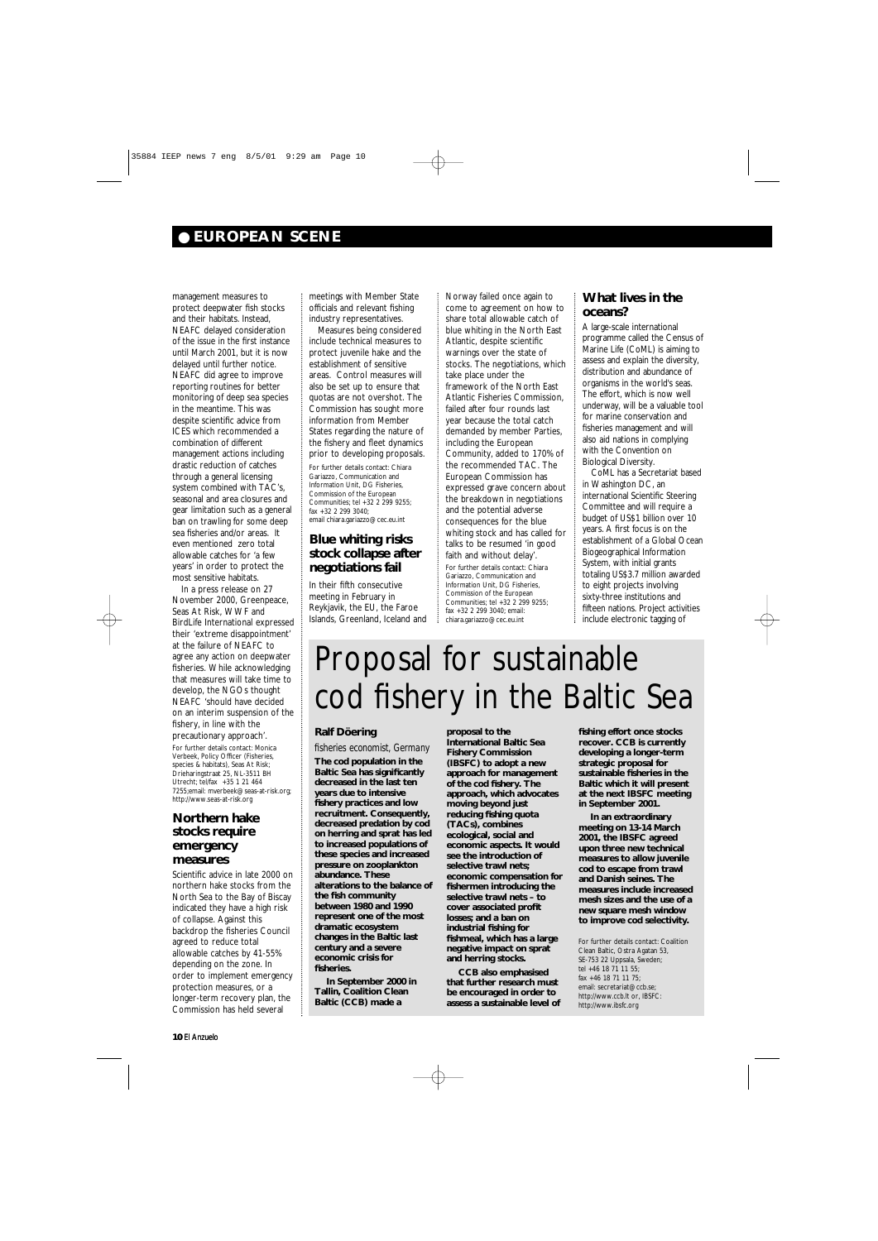management measures to protect deepwater fish stocks and their habitats. Instead, NEAFC delayed consideration of the issue in the first instance until March 2001, but it is now delayed until further notice. NEAFC did agree to improve reporting routines for better monitoring of deep sea species in the meantime. This was despite scientific advice from ICES which recommended a combination of different management actions including drastic reduction of catches through a general licensing system combined with TAC's, seasonal and area closures and gear limitation such as a general ban on trawling for some deep sea fisheries and/or areas. It even mentioned zero total allowable catches for 'a few years' in order to protect the most sensitive habitats.

In a press release on 27 November 2000, Greenpeace, Seas At Risk, WWF and BirdLife International expressed their 'extreme disappointment' at the failure of NEAFC to agree any action on deepwater fisheries. While acknowledging that measures will take time to develop, the NGOs thought NEAFC 'should have decided on an interim suspension of the fishery, in line with the precautionary approach'. For further details contact: Monica Verbeek, Policy Officer (Fisheries, species & habitats), Seas At Risk; Drieharingstraat 25, NL-3511 BH Utrecht; tel/fax +35 1 21 464 7255;email: mverbeek@seas-at-risk.org; http://www.seas-at-risk.org

# **Northern hake stocks require emergency measures**

Scientific advice in late 2000 on northern hake stocks from the North Sea to the Bay of Biscay indicated they have a high risk of collapse. Against this backdrop the fisheries Council agreed to reduce total allowable catches by 41-55% depending on the zone. In order to implement emergency protection measures, or a longer-term recovery plan, the Commission has held several

meetings with Member State officials and relevant fishing industry representatives.

Measures being considered include technical measures to protect juvenile hake and the establishment of sensitive areas. Control measures will also be set up to ensure that quotas are not overshot. The Commission has sought more information from Member States regarding the nature of the fishery and fleet dynamics prior to developing proposals.

For further details contact: Chiara Gariazzo, Communication and Information Unit, DG Fisheries, Commission of the European Communities; tel +32 2 299 9255; fax +32 2 299 3040; email chiara.gariazzo@cec.eu.int

# **Blue whiting risks stock collapse after negotiations fail**

In their fifth consecutive meeting in February in Reykjavik, the EU, the Faroe Islands, Greenland, Iceland and Norway failed once again to

come to agreement on how to share total allowable catch of blue whiting in the North East Atlantic, despite scientific warnings over the state of stocks. The negotiations, which take place under the framework of the North East Atlantic Fisheries Commission, failed after four rounds last year because the total catch demanded by member Parties, including the European Community, added to 170% of the recommended TAC. The European Commission has expressed grave concern about the breakdown in negotiations and the potential adverse consequences for the blue whiting stock and has called for talks to be resumed 'in good faith and without delay'. For further details contact: Chiara Gariazzo, Communication and Information Unit, DG Fisheries, Commission of the European Communities; tel +32 2 299 9255; fax +32 2 299 3040; email: chiara.gariazzo@cec.eu.int

# **What lives in the oceans?**

A large-scale international programme called the Census of Marine Life (CoML) is aiming to assess and explain the diversity, distribution and abundance of organisms in the world's seas. The effort, which is now well underway, will be a valuable tool for marine conservation and fisheries management and will also aid nations in complying with the Convention on Biological Diversity.

CoML has a Secretariat based in Washington DC, an international Scientific Steering Committee and will require a budget of US\$1 billion over 10 years. A first focus is on the establishment of a Global Ocean Biogeographical Information System, with initial grants totaling US\$3.7 million awarded to eight projects involving sixty-three institutions and fifteen nations. Project activities include electronic tagging of

# ● **EUROPEAN SCENE**

# Proposal for sustainable cod fishery in the Baltic Sea

## **Ralf Döering**

*fisheries economist, Germany* **The cod population in the Baltic Sea has significantly decreased in the last ten years due to intensive fishery practices and low recruitment. Consequently, decreased predation by cod on herring and sprat has led to increased populations of these species and increased pressure on zooplankton abundance. These alterations to the balance of the fish community between 1980 and 1990 represent one of the most dramatic ecosystem changes in the Baltic last century and a severe economic crisis for fisheries.** 

**In September 2000 in Tallin, Coalition Clean Baltic (CCB) made a**

**proposal to the International Baltic Sea Fishery Commission (IBSFC) to adopt a new approach for management of the cod fishery. The approach, which advocates moving beyond just reducing fishing quota (TACs), combines ecological, social and economic aspects. It would see the introduction of selective trawl nets; economic compensation for fishermen introducing the selective trawl nets – to cover associated profit losses; and a ban on industrial fishing for**

**fishmeal, which has a large negative impact on sprat and herring stocks.**

**CCB also emphasised that further research must be encouraged in order to assess a sustainable level of**

**fishing effort once stocks recover. CCB is currently developing a longer-term strategic proposal for sustainable fisheries in the Baltic which it will present at the next IBSFC meeting in September 2001.**

**In an extraordinary meeting on 13-14 March 2001, the IBSFC agreed upon three new technical measures to allow juvenile cod to escape from trawl and Danish seines. The measures include increased mesh sizes and the use of a new square mesh window to improve cod selectivity.**

For further details contact: Coalition Clean Baltic, Ostra Agatan 53, SE-753 22 Uppsala, Sweden; tel +46 18 71 11 55 fax +46 18 71 11 75; email: secretariat@ccb.se; http://www.ccb.lt or, IBSFC: http://www.ibsfc.org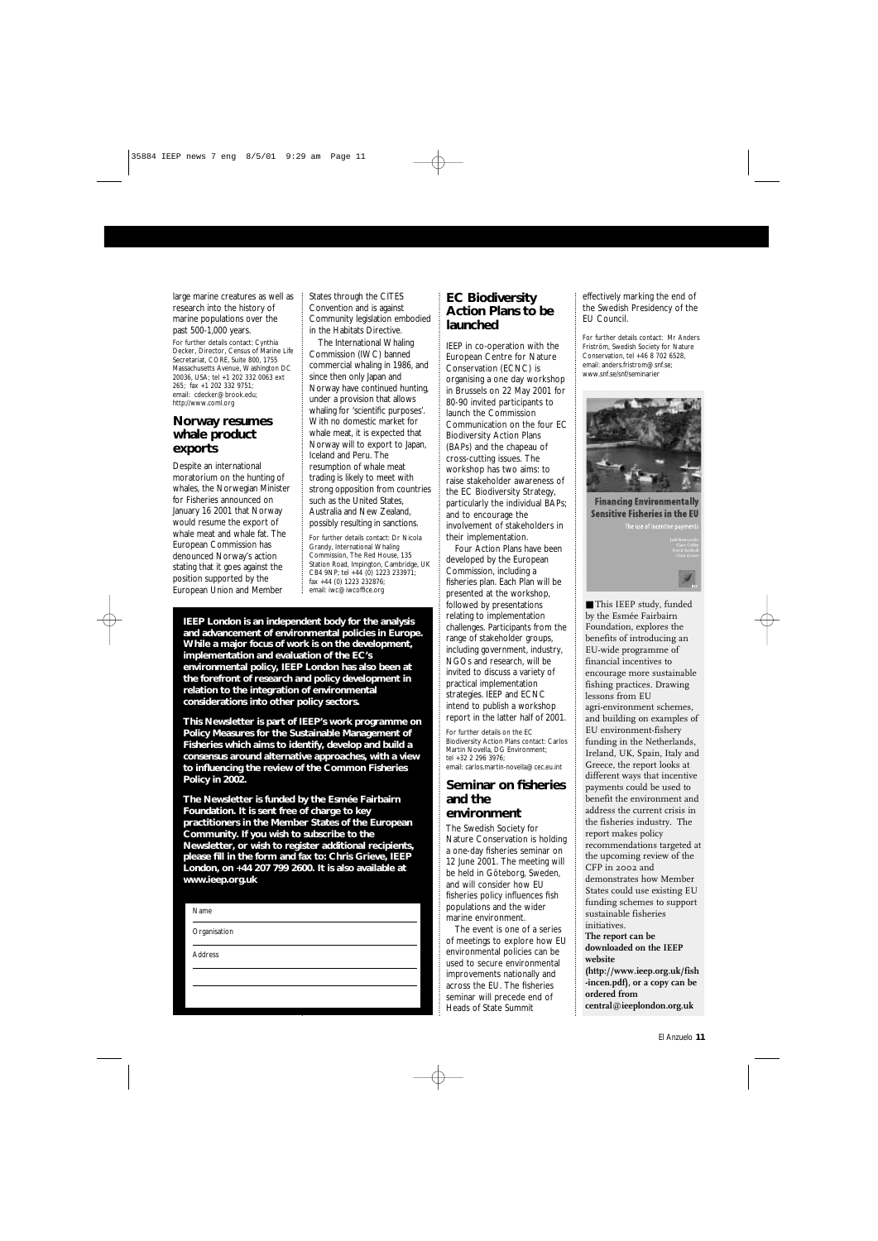large marine creatures as well as research into the history of marine populations over the past 500-1,000 years.

For further details contact: Cynthia Decker, Director, Census of Marine Life Secretariat, CORE, Suite 800, 1755 Massachusetts Avenue, Washington DC 20036, USA; tel +1 202 332 0063 ext 265; fax +1 202 332 9751; email: cdecker@brook.edu; http://www.coml.org

# **Norway resumes whale product exports**

Despite an international moratorium on the hunting of whales, the Norwegian Minister for Fisheries announced on January 16 2001 that Norway would resume the export of whale meat and whale fat. The European Commission has denounced Norway's action stating that it goes against the position supported by the European Union and Member

States through the CITES Convention and is against Community legislation embodied in the Habitats Directive.

The International Whaling Commission (IWC) banned commercial whaling in 1986, and since then only Japan and Norway have continued hunting, under a provision that allows whaling for 'scientific purposes'. With no domestic market for whale meat, it is expected that Norway will to export to Japan, Iceland and Peru. The resumption of whale meat trading is likely to meet with strong opposition from countries such as the United States, Australia and New Zealand, possibly resulting in sanctions.

For further details contact: Dr Nicola Grandy, International Whaling Commission, The Red House, 135 Station Road, Impington, Cambridge, UK CB4 9NP; tel +44 (0) 1223 233971; fax +44 (0) 1223 232876; email: iwc@iwcoffice.org

# **EC Biodiversity Action Plans to be launched**

IEEP in co-operation with the European Centre for Nature Conservation (ECNC) is organising a one day workshop in Brussels on 22 May 2001 for 80-90 invited participants to launch the Commission Communication on the four EC Biodiversity Action Plans (BAPs) and the chapeau of cross-cutting issues. The workshop has two aims: to raise stakeholder awareness of the EC Biodiversity Strategy, particularly the individual BAPs; and to encourage the involvement of stakeholders in their implementation. Four Action Plans have been developed by the European Commission, including a fisheries plan. Each Plan will be presented at the workshop, followed by presentations relating to implementation challenges. Participants from the range of stakeholder groups, including government, industry, NGOs and research, will be invited to discuss a variety of practical implementation strategies. IEEP and ECNC intend to publish a workshop report in the latter half of 2001.

■ This IEEP study, funded by the Esmée Fairbairn Foundation, explores the benefits of introducing an EU-wide programme of financial incentives to encourage more sustainable fishing practices. Drawing lessons from EU agri-environment schemes, and building on examples of EU environment-fishery funding in the Netherlands, Ireland, UK, Spain, Italy and Greece, the report looks at different ways that incentive payments could be used to benefit the environment and address the current crisis in the fisheries industry. The report makes policy recommendations targeted at the upcoming review of the CFP in 2002 and demonstrates how Member States could use existing EU funding schemes to support sustainable fisheries

For further details on the EC Biodiversity Action Plans contact: Carlos Martin Novella, DG Environment; tel +32 2 296 3976; email: carlos.martin-novella@cec.eu.int

# **Seminar on fisheries and the environment**

The Swedish Society for Nature Conservation is holding a one-day fisheries seminar on 12 June 2001. The meeting will be held in Göteborg, Sweden, and will consider how EU fisheries policy influences fish populations and the wider marine environment.

The event is one of a series

effectively marking the end of the Swedish Presidency of the EU Council.

For further details contact: Mr Anders Friström, Swedish Society for Nature Conservation, tel +46 8 702 6528, email: anders.fristrom@snf.se; www.snf.se/snf/seminarier



**Financing Environmentally Sensitive Fisheries in the EU** 



El Anzuelo **11**

#### Name

**Organisation** 

**IEEP London is an independent body for the analysis and advancement of environmental policies in Europe. While a major focus of work is on the development, implementation and evaluation of the EC's environmental policy, IEEP London has also been at the forefront of research and policy development in relation to the integration of environmental considerations into other policy sectors.** 

**This Newsletter is part of IEEP's work programme on Policy Measures for the Sustainable Management of Fisheries which aims to identify, develop and build a consensus around alternative approaches, with a view to influencing the review of the Common Fisheries Policy in 2002.**

|         | of meetings to explore how EU | THE TEDOIT CAIL DE            |
|---------|-------------------------------|-------------------------------|
| Address | environmental policies can be | downloaded on the IEEP        |
|         | used to secure environmental  | website                       |
|         | improvements nationally and   | (http://www.ieep.org.uk/fish  |
|         | across the EU. The fisheries  | -incen.pdf), or a copy can be |
|         | seminar will precede end of   | ordered from                  |
|         | Heads of State Summit         | central@ieeplondon.org.uk     |
|         |                               |                               |

**The Newsletter is funded by the Esmée Fairbairn Foundation. It is sent free of charge to key practitioners in the Member States of the European Community. If you wish to subscribe to the Newsletter, or wish to register additional recipients, please fill in the form and fax to: Chris Grieve, IEEP London, on +44 207 799 2600. It is also available at www.ieep.org.uk**

> initiatives. **The report can be**